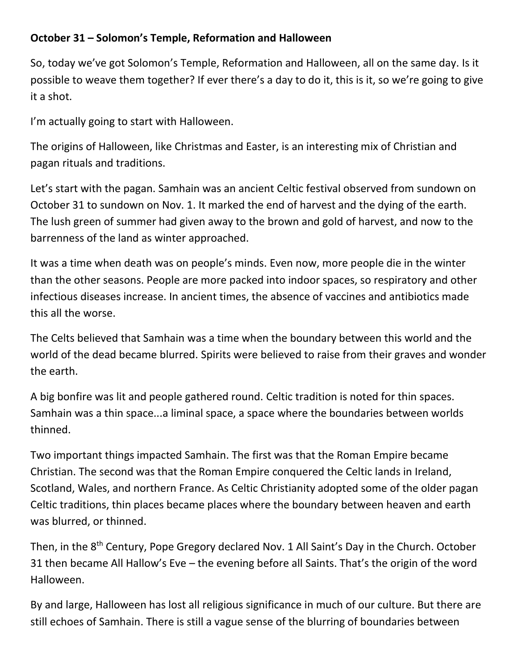## **October 31 – Solomon's Temple, Reformation and Halloween**

So, today we've got Solomon's Temple, Reformation and Halloween, all on the same day. Is it possible to weave them together? If ever there's a day to do it, this is it, so we're going to give it a shot.

I'm actually going to start with Halloween.

The origins of Halloween, like Christmas and Easter, is an interesting mix of Christian and pagan rituals and traditions.

Let's start with the pagan. Samhain was an ancient Celtic festival observed from sundown on October 31 to sundown on Nov. 1. It marked the end of harvest and the dying of the earth. The lush green of summer had given away to the brown and gold of harvest, and now to the barrenness of the land as winter approached.

It was a time when death was on people's minds. Even now, more people die in the winter than the other seasons. People are more packed into indoor spaces, so respiratory and other infectious diseases increase. In ancient times, the absence of vaccines and antibiotics made this all the worse.

The Celts believed that Samhain was a time when the boundary between this world and the world of the dead became blurred. Spirits were believed to raise from their graves and wonder the earth.

A big bonfire was lit and people gathered round. Celtic tradition is noted for thin spaces. Samhain was a thin space...a liminal space, a space where the boundaries between worlds thinned.

Two important things impacted Samhain. The first was that the Roman Empire became Christian. The second was that the Roman Empire conquered the Celtic lands in Ireland, Scotland, Wales, and northern France. As Celtic Christianity adopted some of the older pagan Celtic traditions, thin places became places where the boundary between heaven and earth was blurred, or thinned.

Then, in the 8<sup>th</sup> Century, Pope Gregory declared Nov. 1 All Saint's Day in the Church. October 31 then became All Hallow's Eve – the evening before all Saints. That's the origin of the word Halloween.

By and large, Halloween has lost all religious significance in much of our culture. But there are still echoes of Samhain. There is still a vague sense of the blurring of boundaries between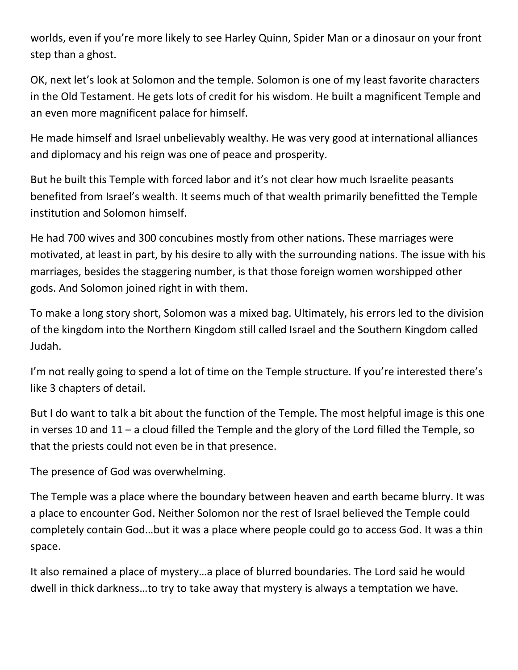worlds, even if you're more likely to see Harley Quinn, Spider Man or a dinosaur on your front step than a ghost.

OK, next let's look at Solomon and the temple. Solomon is one of my least favorite characters in the Old Testament. He gets lots of credit for his wisdom. He built a magnificent Temple and an even more magnificent palace for himself.

He made himself and Israel unbelievably wealthy. He was very good at international alliances and diplomacy and his reign was one of peace and prosperity.

But he built this Temple with forced labor and it's not clear how much Israelite peasants benefited from Israel's wealth. It seems much of that wealth primarily benefitted the Temple institution and Solomon himself.

He had 700 wives and 300 concubines mostly from other nations. These marriages were motivated, at least in part, by his desire to ally with the surrounding nations. The issue with his marriages, besides the staggering number, is that those foreign women worshipped other gods. And Solomon joined right in with them.

To make a long story short, Solomon was a mixed bag. Ultimately, his errors led to the division of the kingdom into the Northern Kingdom still called Israel and the Southern Kingdom called Judah.

I'm not really going to spend a lot of time on the Temple structure. If you're interested there's like 3 chapters of detail.

But I do want to talk a bit about the function of the Temple. The most helpful image is this one in verses 10 and 11 – a cloud filled the Temple and the glory of the Lord filled the Temple, so that the priests could not even be in that presence.

The presence of God was overwhelming.

The Temple was a place where the boundary between heaven and earth became blurry. It was a place to encounter God. Neither Solomon nor the rest of Israel believed the Temple could completely contain God…but it was a place where people could go to access God. It was a thin space.

It also remained a place of mystery…a place of blurred boundaries. The Lord said he would dwell in thick darkness…to try to take away that mystery is always a temptation we have.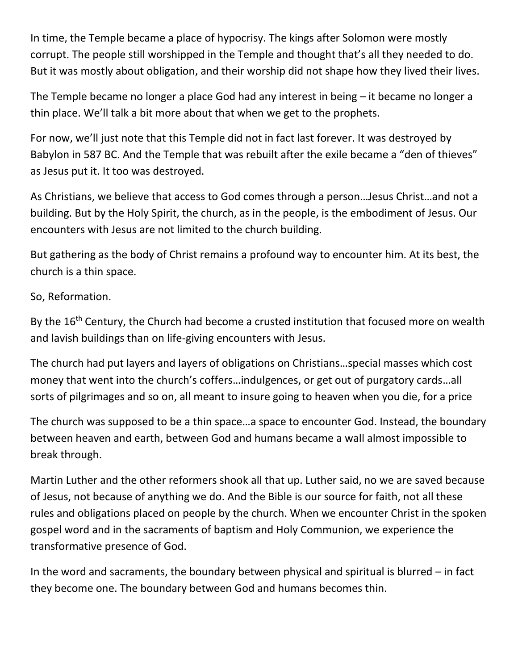In time, the Temple became a place of hypocrisy. The kings after Solomon were mostly corrupt. The people still worshipped in the Temple and thought that's all they needed to do. But it was mostly about obligation, and their worship did not shape how they lived their lives.

The Temple became no longer a place God had any interest in being – it became no longer a thin place. We'll talk a bit more about that when we get to the prophets.

For now, we'll just note that this Temple did not in fact last forever. It was destroyed by Babylon in 587 BC. And the Temple that was rebuilt after the exile became a "den of thieves" as Jesus put it. It too was destroyed.

As Christians, we believe that access to God comes through a person…Jesus Christ…and not a building. But by the Holy Spirit, the church, as in the people, is the embodiment of Jesus. Our encounters with Jesus are not limited to the church building.

But gathering as the body of Christ remains a profound way to encounter him. At its best, the church is a thin space.

## So, Reformation.

By the 16<sup>th</sup> Century, the Church had become a crusted institution that focused more on wealth and lavish buildings than on life-giving encounters with Jesus.

The church had put layers and layers of obligations on Christians…special masses which cost money that went into the church's coffers…indulgences, or get out of purgatory cards…all sorts of pilgrimages and so on, all meant to insure going to heaven when you die, for a price

The church was supposed to be a thin space…a space to encounter God. Instead, the boundary between heaven and earth, between God and humans became a wall almost impossible to break through.

Martin Luther and the other reformers shook all that up. Luther said, no we are saved because of Jesus, not because of anything we do. And the Bible is our source for faith, not all these rules and obligations placed on people by the church. When we encounter Christ in the spoken gospel word and in the sacraments of baptism and Holy Communion, we experience the transformative presence of God.

In the word and sacraments, the boundary between physical and spiritual is blurred – in fact they become one. The boundary between God and humans becomes thin.